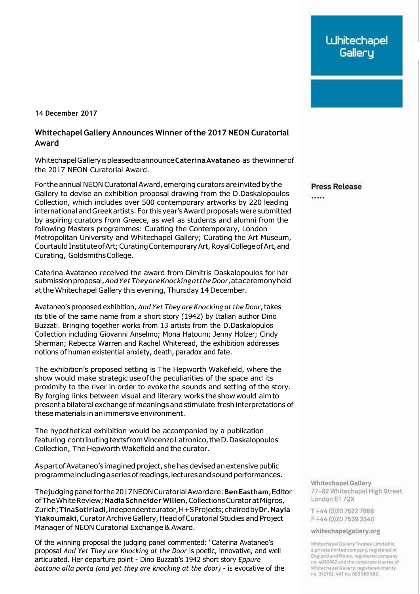**14 December 2017**

## **Whitechapel Gallery Announces Winner ofthe 2017 NEON Curatorial Award**

WhitechapelGalleryispleasedtoannounce**CaterinaAvataneo** as thewinnerof the 2017 NEON Curatorial Award.

Forthe annual NEON Curatorial Award, emerging curators are invited by the Gallery to devise an exhibition proposal drawing from the D.Daskalopoulos Collection, which includes over 500 contemporary artworks by 220 leading international andGreek artists. Forthis year's Award proposals were submitted by aspiring curators from Greece, as well as students and alumni from the following Masters programmes: Curating the Contemporary, London Metropolitan University and Whitechapel Gallery; Curating the Art Museum, Courtauld Institute of Art; Curating Contemporary Art, Royal College of Art, and Curating, GoldsmithsCollege.

Caterina Avataneo received the award from Dimitris Daskalopoulos for her submissionproposal,*AndYetTheyareKnockingattheDoor*,ataceremonyheld at the Whitechapel Gallery this evening, Thursday 14 December.

Avataneo's proposed exhibition, *And Yet They are Knocking at the Door*,takes its title of the same name from a short story (1942) by Italian author Dino Buzzati. Bringing together works from 13 artists from the D.Daskalopulos Collection including Giovanni Anselmo; Mona Hatoum; Jenny Holzer; Cindy Sherman; Rebecca Warren and Rachel Whiteread, the exhibition addresses notions of human existential anxiety, death, paradox and fate.

The exhibition's proposed setting is The Hepworth Wakefield, where the show would make strategic use of the peculiarities of the space and its proximity to the river in order to evoke the sounds and setting of the story. By forging links between visual and literary works the show would aim to present a bilateral exchange of meanings and stimulate fresh interpretations of these materials in an immersive environment.

The hypothetical exhibition would be accompanied by a publication featuring contributing textsfrom Vincenzo Latronico, the D. Daskalopoulos Collection, The Hepworth Wakefield and the curator.

As part of Avataneo's imagined project, she has devised an extensive public programmeincludingaseriesofreadings,lecturesandsound performances.

Thejudgingpanelforthe2017NEONCuratorialAwardare:**BenEastham**,Editor ofTheWhiteReview;**NadiaSchneider Willen**,CollectionsCuratoratMigros, Zurich;**TinaSotiriadi**,independentcurator,H+SProjects;chairedby**Dr.Nayia Yiakoumaki**,Curator ArchiveGallery,Head ofCuratorial Studies and Project Manager of NEON Curatorial Exchange & Award.

Of the winning proposal the judging panel commented: "Caterina Avataneo's proposal *And Yet They are Knocking at the Door* is poetic, innovative, and well articulated. Her departure point - Dino Buzzati's 1942 short story *Eppure battono alla porta (and yet they are knocking at the door)* - is evocative of the **Press Release** 

. . . . .

Whitechapel Gallery 77-82 Whitechapel High Street London E17QX

T+44 (0) 20 7522 7888 F+44 (0) 20 7539 3340

whitechapelgallery.org

Whitechapel Gallery Trustee Limited is a private limited company, registered in England and Wales, registered company no. 4093862 and the corporate trustee of Whitechapel Gallery, registered charity no. 312162. VAT no. 863 586 582.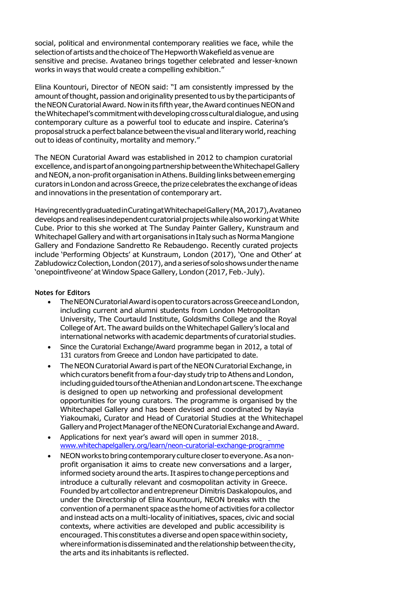social, political and environmental contemporary realities we face, while the selection of artists and the choice of The Hepworth Wakefield as venue are sensitive and precise. Avataneo brings together celebrated and lesser-known works in ways that would create a compelling exhibition."

Elina Kountouri, Director of NEON said: "I am consistently impressed by the amount of thought, passion and originality presented to us by the participants of the NEON Curatorial Award. Now in its fifth year, the Award continues NEON and the Whitechapel's commitment with developing cross cultural dialogue, and using contemporary culture as a powerful tool to educate and inspire. Caterina's proposal struck a perfect balance between the visual and literary world, reaching out to ideas of continuity, mortality and memory."

The NEON Curatorial Award was established in 2012 to champion curatorial excellence, and is part of an ongoing partnership between the Whitechapel Gallery and NEON, a non-profit organisation in Athens. Building links between emerging curators in London and across Greece, the prize celebrates the exchange of ideas and innovations in the presentation of contemporary art.

HavingrecentlygraduatedinCuratingatWhitechapelGallery(MA,2017),Avataneo develops andrealises independent curatorial projects while also working atWhite Cube. Prior to this she worked at The Sunday Painter Gallery, Kunstraum and Whitechapel Gallery and with art organisations in Italy such as Norma Mangione Gallery and Fondazione Sandretto Re Rebaudengo. Recently curated projects include 'Performing Objects' at Kunstraum, London (2017), 'One and Other' at Zabludowicz Colection, London (2017), and a series of solo shows under the name 'onepointfiveone' at Window Space Gallery, London (2017, Feb.-July).

## **Notes for Editors**

- TheNEONCuratorialAwardisopentocuratorsacrossGreeceandLondon, including current and alumni students from London Metropolitan University, The Courtauld Institute, Goldsmiths College and the Royal College of Art. The award builds on the Whitechapel Gallery's local and international networks with academic departments of curatorial studies.
- Since the Curatorial Exchange/Award programme began in 2012, a total of 131 curators from Greece and London have participated to date.
- The NEON Curatorial Award is part of the NEON Curatorial Exchange, in which curators benefit from a four-day study trip to Athens and London, including quided tours of the Athenian and London art scene. The exchange is designed to open up networking and professional development opportunities for young curators. The programme is organised by the Whitechapel Gallery and has been devised and coordinated by Nayia Yiakoumaki, Curator and Head of Curatorial Studies at the Whitechapel Gallery and Project Manager of the NEON Curatorial Exchange and Award.
- Applications for next year's award will open in summer 2018. [www.whitechapelgallery.org/learn/neon-curatorial-exchange-programme](http://www.whitechapelgallery.org/learn/neon-curatorial-exchange-programme/)
- NEONworks to bring contemporary culture closertoeveryone.As anonprofit organisation it aims to create new conversations and a larger, informed society around the arts. It aspires to change perceptions and introduce a culturally relevant and cosmopolitan activity in Greece. Founded by art collector and entrepreneur Dimitris Daskalopoulos, and under the Directorship of Elina Kountouri, NEON breaks with the convention of a permanent space as the home of activities for a collector and instead acts on a multi-locality of initiatives, spaces, civic and social contexts, where activities are developed and public accessibility is encouraged. This constitutes a diverse and open spacewithin society, whereinformationisdisseminated and the relationship betweenthecity, the arts and its inhabitants is reflected.